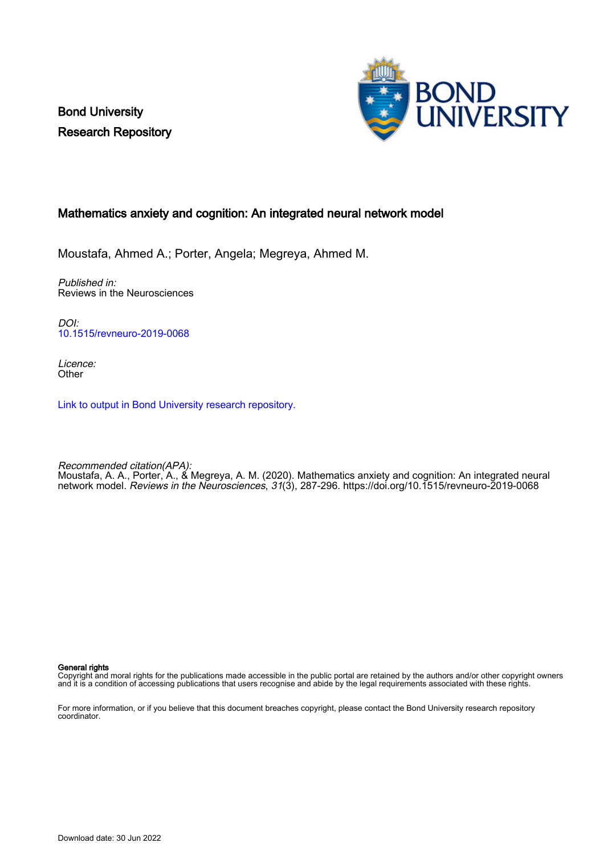Bond University Research Repository



#### Mathematics anxiety and cognition: An integrated neural network model

Moustafa, Ahmed A.; Porter, Angela; Megreya, Ahmed M.

Published in: Reviews in the Neurosciences

DOI: [10.1515/revneuro-2019-0068](https://doi.org/10.1515/revneuro-2019-0068)

Licence: **Other** 

[Link to output in Bond University research repository.](https://research.bond.edu.au/en/publications/78b9a44d-d17e-44b4-99e2-8d47b388204a)

Recommended citation(APA): Moustafa, A. A., Porter, A., & Megreya, A. M. (2020). Mathematics anxiety and cognition: An integrated neural network model. Reviews in the Neurosciences, 31(3), 287-296.<https://doi.org/10.1515/revneuro-2019-0068>

General rights

Copyright and moral rights for the publications made accessible in the public portal are retained by the authors and/or other copyright owners and it is a condition of accessing publications that users recognise and abide by the legal requirements associated with these rights.

For more information, or if you believe that this document breaches copyright, please contact the Bond University research repository coordinator.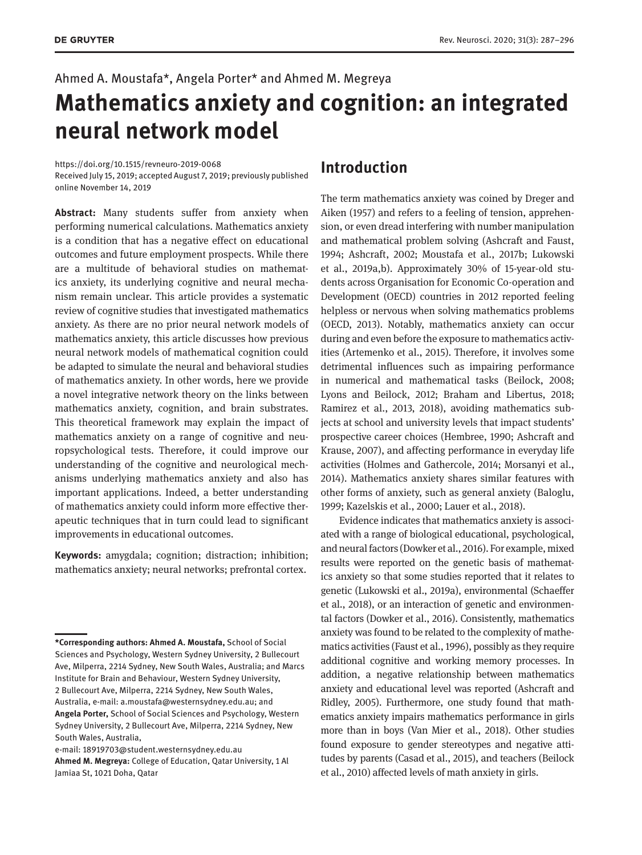# Ahmed A. Moustafa\*, Angela Porter\* and Ahmed M. Megreya **Mathematics anxiety and cognition: an integrated neural network model**

#### <https://doi.org/10.1515/revneuro-2019-0068>

Received July 15, 2019; accepted August 7, 2019; previously published online November 14, 2019

**Abstract:** Many students suffer from anxiety when performing numerical calculations. Mathematics anxiety is a condition that has a negative effect on educational outcomes and future employment prospects. While there are a multitude of behavioral studies on mathematics anxiety, its underlying cognitive and neural mechanism remain unclear. This article provides a systematic review of cognitive studies that investigated mathematics anxiety. As there are no prior neural network models of mathematics anxiety, this article discusses how previous neural network models of mathematical cognition could be adapted to simulate the neural and behavioral studies of mathematics anxiety. In other words, here we provide a novel integrative network theory on the links between mathematics anxiety, cognition, and brain substrates. This theoretical framework may explain the impact of mathematics anxiety on a range of cognitive and neuropsychological tests. Therefore, it could improve our understanding of the cognitive and neurological mechanisms underlying mathematics anxiety and also has important applications. Indeed, a better understanding of mathematics anxiety could inform more effective therapeutic techniques that in turn could lead to significant improvements in educational outcomes.

**Keywords:** amygdala; cognition; distraction; inhibition; mathematics anxiety; neural networks; prefrontal cortex.

#### **Introduction**

The term mathematics anxiety was coined by Dreger and Aiken (1957) and refers to a feeling of tension, apprehension, or even dread interfering with number manipulation and mathematical problem solving (Ashcraft and Faust, 1994; Ashcraft, 2002; Moustafa et al., 2017b; Lukowski et al., 2019a,b). Approximately 30% of 15-year-old students across Organisation for Economic Co-operation and Development (OECD) countries in 2012 reported feeling helpless or nervous when solving mathematics problems (OECD, 2013). Notably, mathematics anxiety can occur during and even before the exposure to mathematics activities (Artemenko et al., 2015). Therefore, it involves some detrimental influences such as impairing performance in numerical and mathematical tasks (Beilock, 2008; Lyons and Beilock, 2012; Braham and Libertus, 2018; Ramirez et al., 2013, 2018), avoiding mathematics subjects at school and university levels that impact students' prospective career choices (Hembree, 1990; Ashcraft and Krause, 2007), and affecting performance in everyday life activities (Holmes and Gathercole, 2014; Morsanyi et al., 2014). Mathematics anxiety shares similar features with other forms of anxiety, such as general anxiety (Baloglu, 1999; Kazelskis et al., 2000; Lauer et al., 2018).

Evidence indicates that mathematics anxiety is associated with a range of biological educational, psychological, and neural factors (Dowker et al., 2016). For example, mixed results were reported on the genetic basis of mathematics anxiety so that some studies reported that it relates to genetic (Lukowski et al., 2019a), environmental (Schaeffer et al., 2018), or an interaction of genetic and environmental factors (Dowker et al., 2016). Consistently, mathematics anxiety was found to be related to the complexity of mathematics activities (Faust et al., 1996), possibly as they require additional cognitive and working memory processes. In addition, a negative relationship between mathematics anxiety and educational level was reported (Ashcraft and Ridley, 2005). Furthermore, one study found that mathematics anxiety impairs mathematics performance in girls more than in boys (Van Mier et al., 2018). Other studies found exposure to gender stereotypes and negative attitudes by parents (Casad et al., 2015), and teachers (Beilock et al., 2010) affected levels of math anxiety in girls.

**<sup>\*</sup>Corresponding authors: Ahmed A. Moustafa,** School of Social Sciences and Psychology, Western Sydney University, 2 Bullecourt Ave, Milperra, 2214 Sydney, New South Wales, Australia; and Marcs Institute for Brain and Behaviour, Western Sydney University, 2 Bullecourt Ave, Milperra, 2214 Sydney, New South Wales, Australia, e-mail: [a.moustafa@westernsydney.edu.au;](mailto:a.moustafa@westernsydney.edu.au) and **Angela Porter,** School of Social Sciences and Psychology, Western Sydney University, 2 Bullecourt Ave, Milperra, 2214 Sydney, New South Wales, Australia,

e-mail: [18919703@student.westernsydney.edu.au](mailto:18919703@student.westernsydney.edu.au) 

**Ahmed M. Megreya:** College of Education, Qatar University, 1 Al Jamiaa St, 1021 Doha, Qatar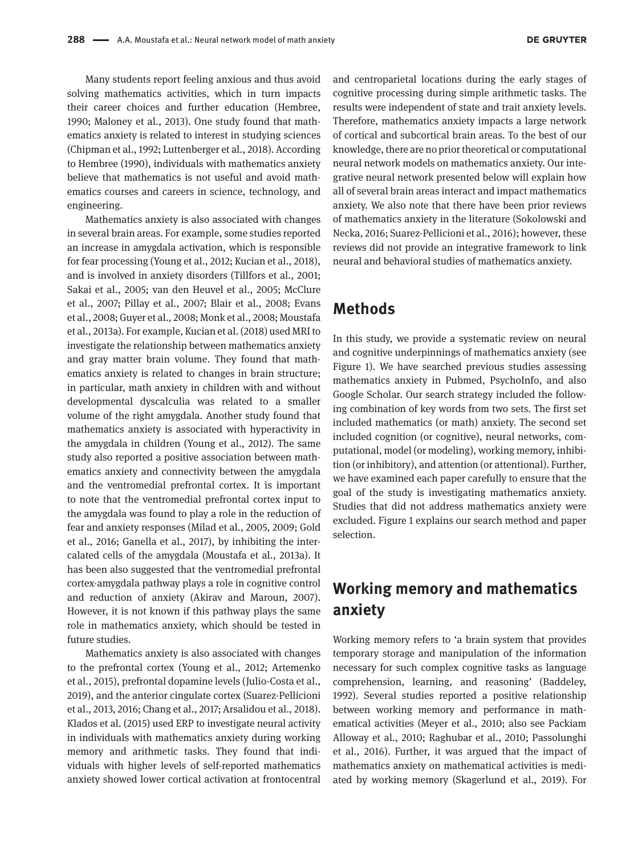Many students report feeling anxious and thus avoid solving mathematics activities, which in turn impacts their career choices and further education (Hembree, 1990; Maloney et al., 2013). One study found that mathematics anxiety is related to interest in studying sciences (Chipman et al., 1992; Luttenberger et al., 2018). According to Hembree (1990), individuals with mathematics anxiety believe that mathematics is not useful and avoid mathematics courses and careers in science, technology, and engineering.

Mathematics anxiety is also associated with changes in several brain areas. For example, some studies reported an increase in amygdala activation, which is responsible for fear processing (Young et al., 2012; Kucian et al., 2018), and is involved in anxiety disorders (Tillfors et al., 2001; Sakai et al., 2005; van den Heuvel et al., 2005; McClure et al., 2007; Pillay et al., 2007; Blair et al., 2008; Evans et al., 2008; Guyer et al., 2008; Monk et al., 2008; Moustafa et al., 2013a). For example, Kucian et al. (2018) used MRI to investigate the relationship between mathematics anxiety and gray matter brain volume. They found that mathematics anxiety is related to changes in brain structure; in particular, math anxiety in children with and without developmental dyscalculia was related to a smaller volume of the right amygdala. Another study found that mathematics anxiety is associated with hyperactivity in the amygdala in children (Young et al., 2012). The same study also reported a positive association between mathematics anxiety and connectivity between the amygdala and the ventromedial prefrontal cortex. It is important to note that the ventromedial prefrontal cortex input to the amygdala was found to play a role in the reduction of fear and anxiety responses (Milad et al., 2005, 2009; Gold et al., 2016; Ganella et al., 2017), by inhibiting the intercalated cells of the amygdala (Moustafa et al., 2013a). It has been also suggested that the ventromedial prefrontal cortex-amygdala pathway plays a role in cognitive control and reduction of anxiety (Akirav and Maroun, 2007). However, it is not known if this pathway plays the same role in mathematics anxiety, which should be tested in future studies.

Mathematics anxiety is also associated with changes to the prefrontal cortex (Young et al., 2012; Artemenko et al., 2015), prefrontal dopamine levels (Julio-Costa et al., 2019), and the anterior cingulate cortex (Suarez-Pellicioni et al., 2013, 2016; Chang et al., 2017; Arsalidou et al., 2018). Klados et al. (2015) used ERP to investigate neural activity in individuals with mathematics anxiety during working memory and arithmetic tasks. They found that individuals with higher levels of self-reported mathematics anxiety showed lower cortical activation at frontocentral

and centroparietal locations during the early stages of cognitive processing during simple arithmetic tasks. The results were independent of state and trait anxiety levels. Therefore, mathematics anxiety impacts a large network of cortical and subcortical brain areas. To the best of our knowledge, there are no prior theoretical or computational neural network models on mathematics anxiety. Our integrative neural network presented below will explain how all of several brain areas interact and impact mathematics anxiety. We also note that there have been prior reviews of mathematics anxiety in the literature (Sokolowski and Necka, 2016; Suarez-Pellicioni et al., 2016); however, these reviews did not provide an integrative framework to link neural and behavioral studies of mathematics anxiety.

## **Methods**

In this study, we provide a systematic review on neural and cognitive underpinnings of mathematics anxiety (see Figure 1). We have searched previous studies assessing mathematics anxiety in Pubmed, PsychoInfo, and also Google Scholar. Our search strategy included the following combination of key words from two sets. The first set included mathematics (or math) anxiety. The second set included cognition (or cognitive), neural networks, computational, model (or modeling), working memory, inhibition (or inhibitory), and attention (or attentional). Further, we have examined each paper carefully to ensure that the goal of the study is investigating mathematics anxiety. Studies that did not address mathematics anxiety were excluded. Figure 1 explains our search method and paper selection.

## **Working memory and mathematics anxiety**

Working memory refers to 'a brain system that provides temporary storage and manipulation of the information necessary for such complex cognitive tasks as language comprehension, learning, and reasoning' (Baddeley, 1992). Several studies reported a positive relationship between working memory and performance in mathematical activities (Meyer et al., 2010; also see Packiam Alloway et al., 2010; Raghubar et al., 2010; Passolunghi et al., 2016). Further, it was argued that the impact of mathematics anxiety on mathematical activities is mediated by working memory (Skagerlund et al., 2019). For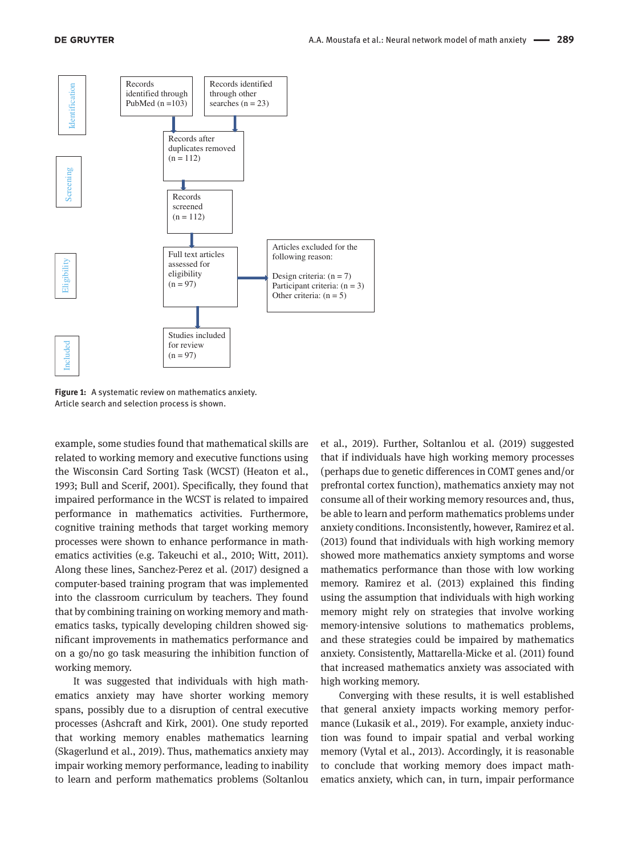

**Figure 1:** A systematic review on mathematics anxiety. Article search and selection process is shown.

example, some studies found that mathematical skills are related to working memory and executive functions using the Wisconsin Card Sorting Task (WCST) (Heaton et al., 1993; Bull and Scerif, 2001). Specifically, they found that impaired performance in the WCST is related to impaired performance in mathematics activities. Furthermore, cognitive training methods that target working memory processes were shown to enhance performance in mathematics activities (e.g. Takeuchi et al., 2010; Witt, 2011). Along these lines, Sanchez-Perez et al. (2017) designed a computer-based training program that was implemented into the classroom curriculum by teachers. They found that by combining training on working memory and mathematics tasks, typically developing children showed significant improvements in mathematics performance and on a go/no go task measuring the inhibition function of working memory.

It was suggested that individuals with high mathematics anxiety may have shorter working memory spans, possibly due to a disruption of central executive processes (Ashcraft and Kirk, 2001). One study reported that working memory enables mathematics learning (Skagerlund et al., 2019). Thus, mathematics anxiety may impair working memory performance, leading to inability to learn and perform mathematics problems (Soltanlou

et al., 2019). Further, Soltanlou et al. (2019) suggested that if individuals have high working memory processes (perhaps due to genetic differences in COMT genes and/or prefrontal cortex function), mathematics anxiety may not consume all of their working memory resources and, thus, be able to learn and perform mathematics problems under anxiety conditions. Inconsistently, however, Ramirez et al. (2013) found that individuals with high working memory showed more mathematics anxiety symptoms and worse mathematics performance than those with low working memory. Ramirez et al. (2013) explained this finding using the assumption that individuals with high working memory might rely on strategies that involve working memory-intensive solutions to mathematics problems, and these strategies could be impaired by mathematics anxiety. Consistently, Mattarella-Micke et al. (2011) found that increased mathematics anxiety was associated with high working memory.

Converging with these results, it is well established that general anxiety impacts working memory performance (Lukasik et al., 2019). For example, anxiety induction was found to impair spatial and verbal working memory (Vytal et al., 2013). Accordingly, it is reasonable to conclude that working memory does impact mathematics anxiety, which can, in turn, impair performance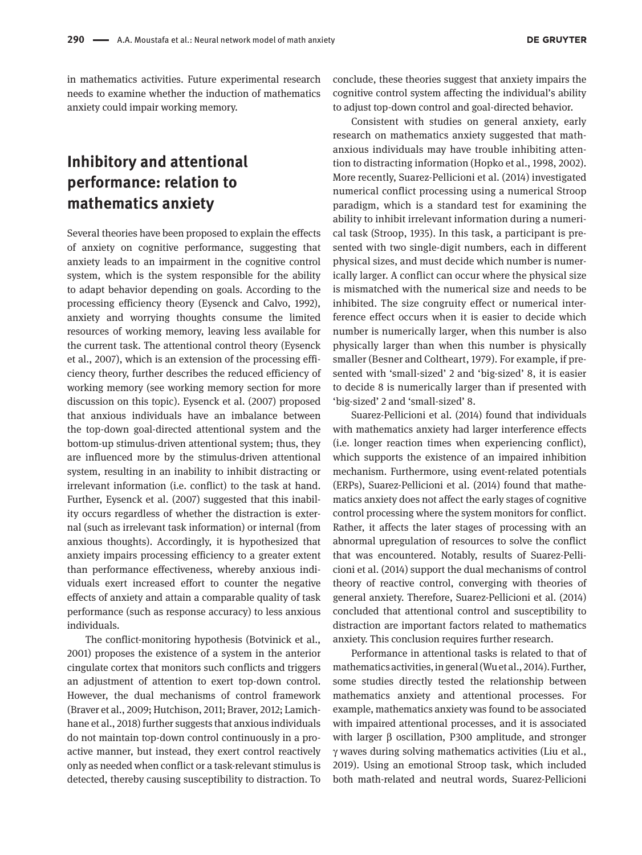in mathematics activities. Future experimental research needs to examine whether the induction of mathematics anxiety could impair working memory.

## **Inhibitory and attentional performance: relation to mathematics anxiety**

Several theories have been proposed to explain the effects of anxiety on cognitive performance, suggesting that anxiety leads to an impairment in the cognitive control system, which is the system responsible for the ability to adapt behavior depending on goals. According to the processing efficiency theory (Eysenck and Calvo, 1992), anxiety and worrying thoughts consume the limited resources of working memory, leaving less available for the current task. The attentional control theory (Eysenck et al., 2007), which is an extension of the processing efficiency theory, further describes the reduced efficiency of working memory (see working memory section for more discussion on this topic). Eysenck et al. (2007) proposed that anxious individuals have an imbalance between the top-down goal-directed attentional system and the bottom-up stimulus-driven attentional system; thus, they are influenced more by the stimulus-driven attentional system, resulting in an inability to inhibit distracting or irrelevant information (i.e. conflict) to the task at hand. Further, Eysenck et al. (2007) suggested that this inability occurs regardless of whether the distraction is external (such as irrelevant task information) or internal (from anxious thoughts). Accordingly, it is hypothesized that anxiety impairs processing efficiency to a greater extent than performance effectiveness, whereby anxious individuals exert increased effort to counter the negative effects of anxiety and attain a comparable quality of task performance (such as response accuracy) to less anxious individuals.

The conflict-monitoring hypothesis (Botvinick et al., 2001) proposes the existence of a system in the anterior cingulate cortex that monitors such conflicts and triggers an adjustment of attention to exert top-down control. However, the dual mechanisms of control framework (Braver et al., 2009; Hutchison, 2011; Braver, 2012; Lamichhane et al., 2018) further suggests that anxious individuals do not maintain top-down control continuously in a proactive manner, but instead, they exert control reactively only as needed when conflict or a task-relevant stimulus is detected, thereby causing susceptibility to distraction. To

conclude, these theories suggest that anxiety impairs the cognitive control system affecting the individual's ability to adjust top-down control and goal-directed behavior.

Consistent with studies on general anxiety, early research on mathematics anxiety suggested that mathanxious individuals may have trouble inhibiting attention to distracting information (Hopko et al., 1998, 2002). More recently, Suarez-Pellicioni et al. (2014) investigated numerical conflict processing using a numerical Stroop paradigm, which is a standard test for examining the ability to inhibit irrelevant information during a numerical task (Stroop, 1935). In this task, a participant is presented with two single-digit numbers, each in different physical sizes, and must decide which number is numerically larger. A conflict can occur where the physical size is mismatched with the numerical size and needs to be inhibited. The size congruity effect or numerical interference effect occurs when it is easier to decide which number is numerically larger, when this number is also physically larger than when this number is physically smaller (Besner and Coltheart, 1979). For example, if presented with 'small-sized' 2 and 'big-sized' 8, it is easier to decide 8 is numerically larger than if presented with 'big-sized' 2 and 'small-sized' 8.

Suarez-Pellicioni et al. (2014) found that individuals with mathematics anxiety had larger interference effects (i.e. longer reaction times when experiencing conflict), which supports the existence of an impaired inhibition mechanism. Furthermore, using event-related potentials (ERPs), Suarez-Pellicioni et al. (2014) found that mathematics anxiety does not affect the early stages of cognitive control processing where the system monitors for conflict. Rather, it affects the later stages of processing with an abnormal upregulation of resources to solve the conflict that was encountered. Notably, results of Suarez-Pellicioni et al. (2014) support the dual mechanisms of control theory of reactive control, converging with theories of general anxiety. Therefore, Suarez-Pellicioni et al. (2014) concluded that attentional control and susceptibility to distraction are important factors related to mathematics anxiety. This conclusion requires further research.

Performance in attentional tasks is related to that of mathematics activities, in general (Wu et al., 2014). Further, some studies directly tested the relationship between mathematics anxiety and attentional processes. For example, mathematics anxiety was found to be associated with impaired attentional processes, and it is associated with larger β oscillation, P300 amplitude, and stronger γ waves during solving mathematics activities (Liu et al., 2019). Using an emotional Stroop task, which included both math-related and neutral words, Suarez-Pellicioni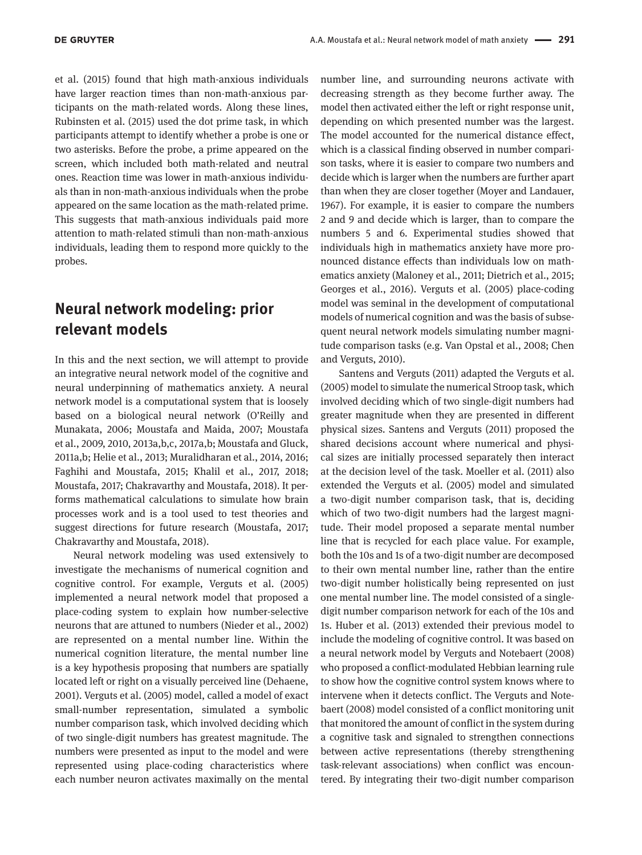et al. (2015) found that high math-anxious individuals have larger reaction times than non-math-anxious participants on the math-related words. Along these lines, Rubinsten et al. (2015) used the dot prime task, in which participants attempt to identify whether a probe is one or two asterisks. Before the probe, a prime appeared on the screen, which included both math-related and neutral ones. Reaction time was lower in math-anxious individuals than in non-math-anxious individuals when the probe appeared on the same location as the math-related prime. This suggests that math-anxious individuals paid more attention to math-related stimuli than non-math-anxious individuals, leading them to respond more quickly to the probes.

## **Neural network modeling: prior relevant models**

In this and the next section, we will attempt to provide an integrative neural network model of the cognitive and neural underpinning of mathematics anxiety. A neural network model is a computational system that is loosely based on a biological neural network (O'Reilly and Munakata, 2006; Moustafa and Maida, 2007; Moustafa et al., 2009, 2010, 2013a,b,c, 2017a,b; Moustafa and Gluck, 2011a,b; Helie et al., 2013; Muralidharan et al., 2014, 2016; Faghihi and Moustafa, 2015; Khalil et al., 2017, 2018; Moustafa, 2017; Chakravarthy and Moustafa, 2018). It performs mathematical calculations to simulate how brain processes work and is a tool used to test theories and suggest directions for future research (Moustafa, 2017; Chakravarthy and Moustafa, 2018).

Neural network modeling was used extensively to investigate the mechanisms of numerical cognition and cognitive control. For example, Verguts et al. (2005) implemented a neural network model that proposed a place-coding system to explain how number-selective neurons that are attuned to numbers (Nieder et al., 2002) are represented on a mental number line. Within the numerical cognition literature, the mental number line is a key hypothesis proposing that numbers are spatially located left or right on a visually perceived line (Dehaene, 2001). Verguts et al. (2005) model, called a model of exact small-number representation, simulated a symbolic number comparison task, which involved deciding which of two single-digit numbers has greatest magnitude. The numbers were presented as input to the model and were represented using place-coding characteristics where each number neuron activates maximally on the mental number line, and surrounding neurons activate with decreasing strength as they become further away. The model then activated either the left or right response unit, depending on which presented number was the largest. The model accounted for the numerical distance effect, which is a classical finding observed in number comparison tasks, where it is easier to compare two numbers and decide which is larger when the numbers are further apart than when they are closer together (Moyer and Landauer, 1967). For example, it is easier to compare the numbers 2 and 9 and decide which is larger, than to compare the numbers 5 and 6. Experimental studies showed that individuals high in mathematics anxiety have more pronounced distance effects than individuals low on mathematics anxiety (Maloney et al., 2011; Dietrich et al., 2015; Georges et al., 2016). Verguts et al. (2005) place-coding model was seminal in the development of computational models of numerical cognition and was the basis of subsequent neural network models simulating number magnitude comparison tasks (e.g. Van Opstal et al., 2008; Chen and Verguts, 2010).

Santens and Verguts (2011) adapted the Verguts et al. (2005) model to simulate the numerical Stroop task, which involved deciding which of two single-digit numbers had greater magnitude when they are presented in different physical sizes. Santens and Verguts (2011) proposed the shared decisions account where numerical and physical sizes are initially processed separately then interact at the decision level of the task. Moeller et al. (2011) also extended the Verguts et al. (2005) model and simulated a two-digit number comparison task, that is, deciding which of two two-digit numbers had the largest magnitude. Their model proposed a separate mental number line that is recycled for each place value. For example, both the 10s and 1s of a two-digit number are decomposed to their own mental number line, rather than the entire two-digit number holistically being represented on just one mental number line. The model consisted of a singledigit number comparison network for each of the 10s and 1s. Huber et al. (2013) extended their previous model to include the modeling of cognitive control. It was based on a neural network model by Verguts and Notebaert (2008) who proposed a conflict-modulated Hebbian learning rule to show how the cognitive control system knows where to intervene when it detects conflict. The Verguts and Notebaert (2008) model consisted of a conflict monitoring unit that monitored the amount of conflict in the system during a cognitive task and signaled to strengthen connections between active representations (thereby strengthening task-relevant associations) when conflict was encountered. By integrating their two-digit number comparison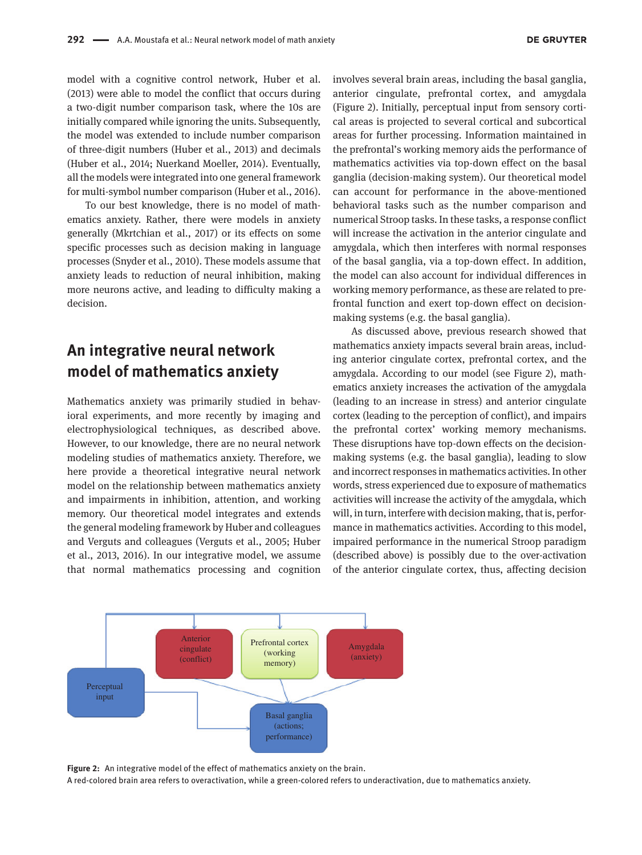model with a cognitive control network, Huber et al. (2013) were able to model the conflict that occurs during a two-digit number comparison task, where the 10s are initially compared while ignoring the units. Subsequently, the model was extended to include number comparison of three-digit numbers (Huber et al., 2013) and decimals (Huber et al., 2014; Nuerkand Moeller, 2014). Eventually, all the models were integrated into one general framework for multi-symbol number comparison (Huber et al., 2016).

To our best knowledge, there is no model of mathematics anxiety. Rather, there were models in anxiety generally (Mkrtchian et al., 2017) or its effects on some specific processes such as decision making in language processes (Snyder et al., 2010). These models assume that anxiety leads to reduction of neural inhibition, making more neurons active, and leading to difficulty making a decision.

## **An integrative neural network model of mathematics anxiety**

Mathematics anxiety was primarily studied in behavioral experiments, and more recently by imaging and electrophysiological techniques, as described above. However, to our knowledge, there are no neural network modeling studies of mathematics anxiety. Therefore, we here provide a theoretical integrative neural network model on the relationship between mathematics anxiety and impairments in inhibition, attention, and working memory. Our theoretical model integrates and extends the general modeling framework by Huber and colleagues and Verguts and colleagues (Verguts et al., 2005; Huber et al., 2013, 2016). In our integrative model, we assume that normal mathematics processing and cognition involves several brain areas, including the basal ganglia, anterior cingulate, prefrontal cortex, and amygdala (Figure 2). Initially, perceptual input from sensory cortical areas is projected to several cortical and subcortical areas for further processing. Information maintained in the prefrontal's working memory aids the performance of mathematics activities via top-down effect on the basal ganglia (decision-making system). Our theoretical model can account for performance in the above-mentioned behavioral tasks such as the number comparison and numerical Stroop tasks. In these tasks, a response conflict will increase the activation in the anterior cingulate and amygdala, which then interferes with normal responses of the basal ganglia, via a top-down effect. In addition, the model can also account for individual differences in working memory performance, as these are related to prefrontal function and exert top-down effect on decisionmaking systems (e.g. the basal ganglia).

As discussed above, previous research showed that mathematics anxiety impacts several brain areas, including anterior cingulate cortex, prefrontal cortex, and the amygdala. According to our model (see Figure 2), mathematics anxiety increases the activation of the amygdala (leading to an increase in stress) and anterior cingulate cortex (leading to the perception of conflict), and impairs the prefrontal cortex' working memory mechanisms. These disruptions have top-down effects on the decisionmaking systems (e.g. the basal ganglia), leading to slow and incorrect responses in mathematics activities. In other words, stress experienced due to exposure of mathematics activities will increase the activity of the amygdala, which will, in turn, interfere with decision making, that is, performance in mathematics activities. According to this model, impaired performance in the numerical Stroop paradigm (described above) is possibly due to the over-activation of the anterior cingulate cortex, thus, affecting decision



**Figure 2:** An integrative model of the effect of mathematics anxiety on the brain.

A red-colored brain area refers to overactivation, while a green-colored refers to underactivation, due to mathematics anxiety.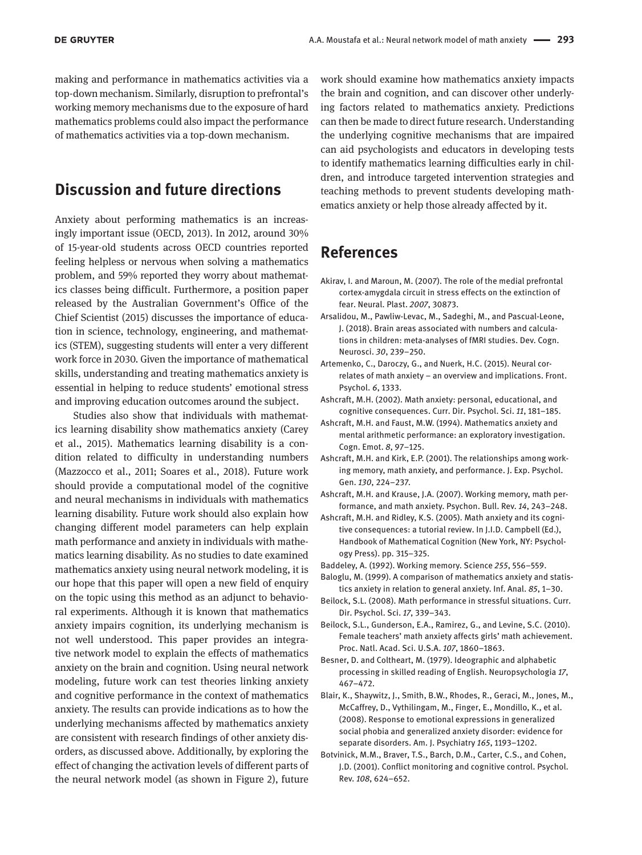making and performance in mathematics activities via a top-down mechanism. Similarly, disruption to prefrontal's working memory mechanisms due to the exposure of hard mathematics problems could also impact the performance of mathematics activities via a top-down mechanism.

## **Discussion and future directions**

Anxiety about performing mathematics is an increasingly important issue (OECD, 2013). In 2012, around 30% of 15-year-old students across OECD countries reported feeling helpless or nervous when solving a mathematics problem, and 59% reported they worry about mathematics classes being difficult. Furthermore, a position paper released by the Australian Government's Office of the Chief Scientist (2015) discusses the importance of education in science, technology, engineering, and mathematics (STEM), suggesting students will enter a very different work force in 2030. Given the importance of mathematical skills, understanding and treating mathematics anxiety is essential in helping to reduce students' emotional stress and improving education outcomes around the subject.

Studies also show that individuals with mathematics learning disability show mathematics anxiety (Carey et al., 2015). Mathematics learning disability is a condition related to difficulty in understanding numbers (Mazzocco et al., 2011; Soares et al., 2018). Future work should provide a computational model of the cognitive and neural mechanisms in individuals with mathematics learning disability. Future work should also explain how changing different model parameters can help explain math performance and anxiety in individuals with mathematics learning disability. As no studies to date examined mathematics anxiety using neural network modeling, it is our hope that this paper will open a new field of enquiry on the topic using this method as an adjunct to behavioral experiments. Although it is known that mathematics anxiety impairs cognition, its underlying mechanism is not well understood. This paper provides an integrative network model to explain the effects of mathematics anxiety on the brain and cognition. Using neural network modeling, future work can test theories linking anxiety and cognitive performance in the context of mathematics anxiety. The results can provide indications as to how the underlying mechanisms affected by mathematics anxiety are consistent with research findings of other anxiety disorders, as discussed above. Additionally, by exploring the effect of changing the activation levels of different parts of the neural network model (as shown in Figure 2), future

work should examine how mathematics anxiety impacts the brain and cognition, and can discover other underlying factors related to mathematics anxiety. Predictions can then be made to direct future research. Understanding the underlying cognitive mechanisms that are impaired can aid psychologists and educators in developing tests to identify mathematics learning difficulties early in children, and introduce targeted intervention strategies and teaching methods to prevent students developing mathematics anxiety or help those already affected by it.

#### **References**

- Akirav, I. and Maroun, M. (2007). The role of the medial prefrontal cortex-amygdala circuit in stress effects on the extinction of fear. Neural. Plast. *2007*, 30873.
- Arsalidou, M., Pawliw-Levac, M., Sadeghi, M., and Pascual-Leone, J. (2018). Brain areas associated with numbers and calculations in children: meta-analyses of fMRI studies. Dev. Cogn. Neurosci. *30*, 239–250.
- Artemenko, C., Daroczy, G., and Nuerk, H.C. (2015). Neural correlates of math anxiety – an overview and implications. Front. Psychol. *6*, 1333.
- Ashcraft, M.H. (2002). Math anxiety: personal, educational, and cognitive consequences. Curr. Dir. Psychol. Sci. *11*, 181–185.
- Ashcraft, M.H. and Faust, M.W. (1994). Mathematics anxiety and mental arithmetic performance: an exploratory investigation. Cogn. Emot. *8*, 97–125.
- Ashcraft, M.H. and Kirk, E.P. (2001). The relationships among working memory, math anxiety, and performance. J. Exp. Psychol. Gen. *130*, 224–237.
- Ashcraft, M.H. and Krause, J.A. (2007). Working memory, math performance, and math anxiety. Psychon. Bull. Rev. *14*, 243–248.
- Ashcraft, M.H. and Ridley, K.S. (2005). Math anxiety and its cognitive consequences: a tutorial review. In J.I.D. Campbell (Ed.), Handbook of Mathematical Cognition (New York, NY: Psychology Press). pp. 315–325.
- Baddeley, A. (1992). Working memory. Science *255*, 556–559.
- Baloglu, M. (1999). A comparison of mathematics anxiety and statistics anxiety in relation to general anxiety. Inf. Anal. *85*, 1–30.
- Beilock, S.L. (2008). Math performance in stressful situations. Curr. Dir. Psychol. Sci. *17*, 339–343.
- Beilock, S.L., Gunderson, E.A., Ramirez, G., and Levine, S.C. (2010). Female teachers' math anxiety affects girls' math achievement. Proc. Natl. Acad. Sci. U.S.A. *107*, 1860–1863.
- Besner, D. and Coltheart, M. (1979). Ideographic and alphabetic processing in skilled reading of English. Neuropsychologia *17*, 467–472.
- Blair, K., Shaywitz, J., Smith, B.W., Rhodes, R., Geraci, M., Jones, M., McCaffrey, D., Vythilingam, M., Finger, E., Mondillo, K., et al. (2008). Response to emotional expressions in generalized social phobia and generalized anxiety disorder: evidence for separate disorders. Am. J. Psychiatry *165*, 1193–1202.
- Botvinick, M.M., Braver, T.S., Barch, D.M., Carter, C.S., and Cohen, J.D. (2001). Conflict monitoring and cognitive control. Psychol. Rev. *108*, 624–652.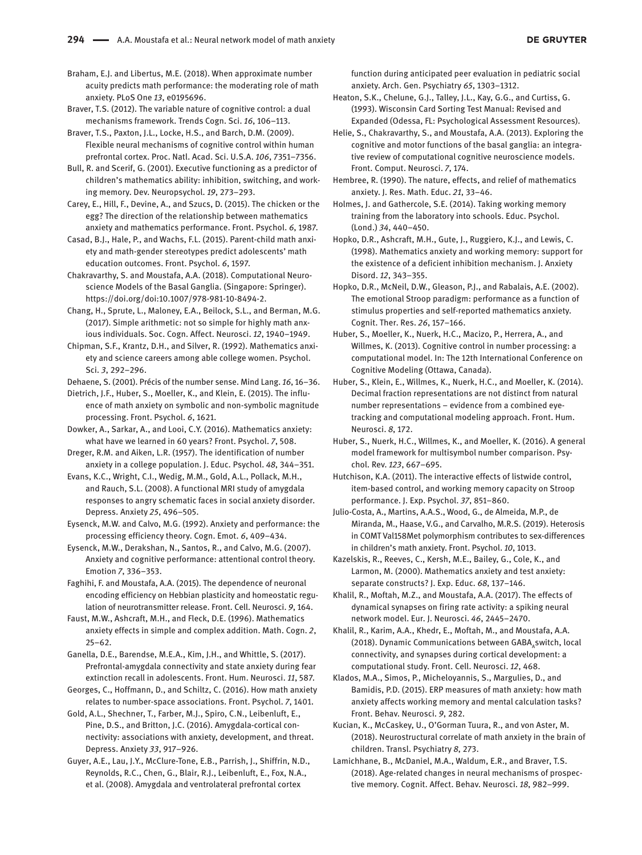Braham, E.J. and Libertus, M.E. (2018). When approximate number acuity predicts math performance: the moderating role of math anxiety. PLoS One *13*, e0195696.

Braver, T.S. (2012). The variable nature of cognitive control: a dual mechanisms framework. Trends Cogn. Sci. *16*, 106–113.

Braver, T.S., Paxton, J.L., Locke, H.S., and Barch, D.M. (2009). Flexible neural mechanisms of cognitive control within human prefrontal cortex. Proc. Natl. Acad. Sci. U.S.A. *106*, 7351–7356.

Bull, R. and Scerif, G. (2001). Executive functioning as a predictor of children's mathematics ability: inhibition, switching, and working memory. Dev. Neuropsychol. *19*, 273–293.

Carey, E., Hill, F., Devine, A., and Szucs, D. (2015). The chicken or the egg? The direction of the relationship between mathematics anxiety and mathematics performance. Front. Psychol. *6*, 1987.

Casad, B.J., Hale, P., and Wachs, F.L. (2015). Parent-child math anxiety and math-gender stereotypes predict adolescents' math education outcomes. Front. Psychol. *6*, 1597.

Chakravarthy, S. and Moustafa, A.A. (2018). Computational Neuroscience Models of the Basal Ganglia. (Singapore: Springer). <https://doi.org/doi:10.1007/978-981-10-8494-2>.

Chang, H., Sprute, L., Maloney, E.A., Beilock, S.L., and Berman, M.G. (2017). Simple arithmetic: not so simple for highly math anxious individuals. Soc. Cogn. Affect. Neurosci. *12*, 1940–1949.

Chipman, S.F., Krantz, D.H., and Silver, R. (1992). Mathematics anxiety and science careers among able college women. Psychol. Sci. *3*, 292–296.

Dehaene, S. (2001). Précis of the number sense. Mind Lang. *16*, 16–36.

Dietrich, J.F., Huber, S., Moeller, K., and Klein, E. (2015). The influence of math anxiety on symbolic and non-symbolic magnitude processing. Front. Psychol. *6*, 1621.

Dowker, A., Sarkar, A., and Looi, C.Y. (2016). Mathematics anxiety: what have we learned in 60 years? Front. Psychol. *7*, 508.

Dreger, R.M. and Aiken, L.R. (1957). The identification of number anxiety in a college population. J. Educ. Psychol. *48*, 344–351.

Evans, K.C., Wright, C.I., Wedig, M.M., Gold, A.L., Pollack, M.H., and Rauch, S.L. (2008). A functional MRI study of amygdala responses to angry schematic faces in social anxiety disorder. Depress. Anxiety *25*, 496–505.

Eysenck, M.W. and Calvo, M.G. (1992). Anxiety and performance: the processing efficiency theory. Cogn. Emot. *6*, 409–434.

Eysenck, M.W., Derakshan, N., Santos, R., and Calvo, M.G. (2007). Anxiety and cognitive performance: attentional control theory. Emotion *7*, 336–353.

Faghihi, F. and Moustafa, A.A. (2015). The dependence of neuronal encoding efficiency on Hebbian plasticity and homeostatic regulation of neurotransmitter release. Front. Cell. Neurosci. *9*, 164.

Faust, M.W., Ashcraft, M.H., and Fleck, D.E. (1996). Mathematics anxiety effects in simple and complex addition. Math. Cogn. *2*, 25–62.

Ganella, D.E., Barendse, M.E.A., Kim, J.H., and Whittle, S. (2017). Prefrontal-amygdala connectivity and state anxiety during fear extinction recall in adolescents. Front. Hum. Neurosci. *11*, 587.

Georges, C., Hoffmann, D., and Schiltz, C. (2016). How math anxiety relates to number-space associations. Front. Psychol. *7*, 1401.

Gold, A.L., Shechner, T., Farber, M.J., Spiro, C.N., Leibenluft, E., Pine, D.S., and Britton, J.C. (2016). Amygdala-cortical connectivity: associations with anxiety, development, and threat. Depress. Anxiety *33*, 917–926.

Guyer, A.E., Lau, J.Y., McClure-Tone, E.B., Parrish, J., Shiffrin, N.D., Reynolds, R.C., Chen, G., Blair, R.J., Leibenluft, E., Fox, N.A., et al. (2008). Amygdala and ventrolateral prefrontal cortex

function during anticipated peer evaluation in pediatric social anxiety. Arch. Gen. Psychiatry *65*, 1303–1312.

Heaton, S.K., Chelune, G.J., Talley, J.L., Kay, G.G., and Curtiss, G. (1993). Wisconsin Card Sorting Test Manual: Revised and Expanded (Odessa, FL: Psychological Assessment Resources).

Helie, S., Chakravarthy, S., and Moustafa, A.A. (2013). Exploring the cognitive and motor functions of the basal ganglia: an integrative review of computational cognitive neuroscience models. Front. Comput. Neurosci. *7*, 174.

Hembree, R. (1990). The nature, effects, and relief of mathematics anxiety. J. Res. Math. Educ. *21*, 33–46.

Holmes, J. and Gathercole, S.E. (2014). Taking working memory training from the laboratory into schools. Educ. Psychol. (Lond.) *34*, 440–450.

Hopko, D.R., Ashcraft, M.H., Gute, J., Ruggiero, K.J., and Lewis, C. (1998). Mathematics anxiety and working memory: support for the existence of a deficient inhibition mechanism. J. Anxiety Disord. *12*, 343–355.

Hopko, D.R., McNeil, D.W., Gleason, P.J., and Rabalais, A.E. (2002). The emotional Stroop paradigm: performance as a function of stimulus properties and self-reported mathematics anxiety. Cognit. Ther. Res. *26*, 157–166.

Huber, S., Moeller, K., Nuerk, H.C., Macizo, P., Herrera, A., and Willmes, K. (2013). Cognitive control in number processing: a computational model. In: The 12th International Conference on Cognitive Modeling (Ottawa, Canada).

Huber, S., Klein, E., Willmes, K., Nuerk, H.C., and Moeller, K. (2014). Decimal fraction representations are not distinct from natural number representations – evidence from a combined eyetracking and computational modeling approach. Front. Hum. Neurosci. *8*, 172.

Huber, S., Nuerk, H.C., Willmes, K., and Moeller, K. (2016). A general model framework for multisymbol number comparison. Psychol. Rev. *123*, 667–695.

Hutchison, K.A. (2011). The interactive effects of listwide control, item-based control, and working memory capacity on Stroop performance. J. Exp. Psychol. *37*, 851–860.

Julio-Costa, A., Martins, A.A.S., Wood, G., de Almeida, M.P., de Miranda, M., Haase, V.G., and Carvalho, M.R.S. (2019). Heterosis in COMT Val158Met polymorphism contributes to sex-differences in children's math anxiety. Front. Psychol. *10*, 1013.

Kazelskis, R., Reeves, C., Kersh, M.E., Bailey, G., Cole, K., and Larmon, M. (2000). Mathematics anxiety and test anxiety: separate constructs? J. Exp. Educ. *68*, 137–146.

Khalil, R., Moftah, M.Z., and Moustafa, A.A. (2017). The effects of dynamical synapses on firing rate activity: a spiking neural network model. Eur. J. Neurosci. *46*, 2445–2470.

Khalil, R., Karim, A.A., Khedr, E., Moftah, M., and Moustafa, A.A. (2018). Dynamic Communications between  $GABA<sub>a</sub>$ switch, local connectivity, and synapses during cortical development: a computational study. Front. Cell. Neurosci. *12*, 468.

Klados, M.A., Simos, P., Micheloyannis, S., Margulies, D., and Bamidis, P.D. (2015). ERP measures of math anxiety: how math anxiety affects working memory and mental calculation tasks? Front. Behav. Neurosci. *9*, 282.

Kucian, K., McCaskey, U., O'Gorman Tuura, R., and von Aster, M. (2018). Neurostructural correlate of math anxiety in the brain of children. Transl. Psychiatry *8*, 273.

Lamichhane, B., McDaniel, M.A., Waldum, E.R., and Braver, T.S. (2018). Age-related changes in neural mechanisms of prospective memory. Cognit. Affect. Behav. Neurosci. *18*, 982–999.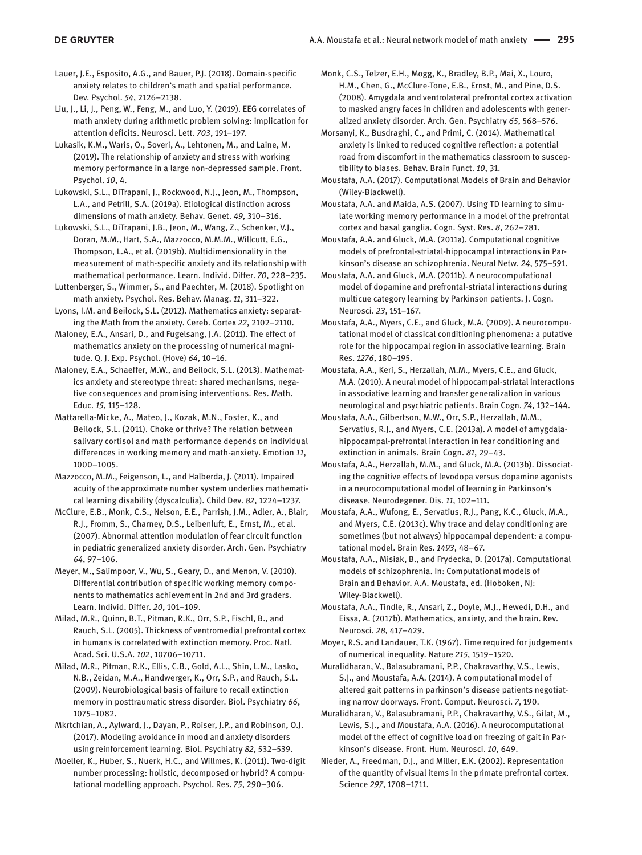- Lauer, J.E., Esposito, A.G., and Bauer, P.J. (2018). Domain-specific anxiety relates to children's math and spatial performance. Dev. Psychol. *54*, 2126–2138.
- Liu, J., Li, J., Peng, W., Feng, M., and Luo, Y. (2019). EEG correlates of math anxiety during arithmetic problem solving: implication for attention deficits. Neurosci. Lett. *703*, 191–197.
- Lukasik, K.M., Waris, O., Soveri, A., Lehtonen, M., and Laine, M. (2019). The relationship of anxiety and stress with working memory performance in a large non-depressed sample. Front. Psychol. *10*, 4.
- Lukowski, S.L., DiTrapani, J., Rockwood, N.J., Jeon, M., Thompson, L.A., and Petrill, S.A. (2019a). Etiological distinction across dimensions of math anxiety. Behav. Genet. *49*, 310–316.
- Lukowski, S.L., DiTrapani, J.B., Jeon, M., Wang, Z., Schenker, V.J., Doran, M.M., Hart, S.A., Mazzocco, M.M.M., Willcutt, E.G., Thompson, L.A., et al. (2019b). Multidimensionality in the measurement of math-specific anxiety and its relationship with mathematical performance. Learn. Individ. Differ. *70*, 228–235.
- Luttenberger, S., Wimmer, S., and Paechter, M. (2018). Spotlight on math anxiety. Psychol. Res. Behav. Manag. *11*, 311–322.
- Lyons, I.M. and Beilock, S.L. (2012). Mathematics anxiety: separating the Math from the anxiety. Cereb. Cortex *22*, 2102–2110.
- Maloney, E.A., Ansari, D., and Fugelsang, J.A. (2011). The effect of mathematics anxiety on the processing of numerical magnitude. Q. J. Exp. Psychol. (Hove) *64*, 10–16.
- Maloney, E.A., Schaeffer, M.W., and Beilock, S.L. (2013). Mathematics anxiety and stereotype threat: shared mechanisms, negative consequences and promising interventions. Res. Math. Educ. *15*, 115–128.
- Mattarella-Micke, A., Mateo, J., Kozak, M.N., Foster, K., and Beilock, S.L. (2011). Choke or thrive? The relation between salivary cortisol and math performance depends on individual differences in working memory and math-anxiety. Emotion *11*, 1000–1005.
- Mazzocco, M.M., Feigenson, L., and Halberda, J. (2011). Impaired acuity of the approximate number system underlies mathematical learning disability (dyscalculia). Child Dev. *82*, 1224–1237.
- McClure, E.B., Monk, C.S., Nelson, E.E., Parrish, J.M., Adler, A., Blair, R.J., Fromm, S., Charney, D.S., Leibenluft, E., Ernst, M., et al. (2007). Abnormal attention modulation of fear circuit function in pediatric generalized anxiety disorder. Arch. Gen. Psychiatry *64*, 97–106.
- Meyer, M., Salimpoor, V., Wu, S., Geary, D., and Menon, V. (2010). Differential contribution of specific working memory components to mathematics achievement in 2nd and 3rd graders. Learn. Individ. Differ. *20*, 101–109.
- Milad, M.R., Quinn, B.T., Pitman, R.K., Orr, S.P., Fischl, B., and Rauch, S.L. (2005). Thickness of ventromedial prefrontal cortex in humans is correlated with extinction memory. Proc. Natl. Acad. Sci. U.S.A. *102*, 10706–10711.
- Milad, M.R., Pitman, R.K., Ellis, C.B., Gold, A.L., Shin, L.M., Lasko, N.B., Zeidan, M.A., Handwerger, K., Orr, S.P., and Rauch, S.L. (2009). Neurobiological basis of failure to recall extinction memory in posttraumatic stress disorder. Biol. Psychiatry *66*, 1075–1082.
- Mkrtchian, A., Aylward, J., Dayan, P., Roiser, J.P., and Robinson, O.J. (2017). Modeling avoidance in mood and anxiety disorders using reinforcement learning. Biol. Psychiatry *82*, 532–539.
- Moeller, K., Huber, S., Nuerk, H.C., and Willmes, K. (2011). Two-digit number processing: holistic, decomposed or hybrid? A computational modelling approach. Psychol. Res. *75*, 290–306.
- Monk, C.S., Telzer, E.H., Mogg, K., Bradley, B.P., Mai, X., Louro, H.M., Chen, G., McClure-Tone, E.B., Ernst, M., and Pine, D.S. (2008). Amygdala and ventrolateral prefrontal cortex activation to masked angry faces in children and adolescents with generalized anxiety disorder. Arch. Gen. Psychiatry *65*, 568–576.
- Morsanyi, K., Busdraghi, C., and Primi, C. (2014). Mathematical anxiety is linked to reduced cognitive reflection: a potential road from discomfort in the mathematics classroom to susceptibility to biases. Behav. Brain Funct. *10*, 31.
- Moustafa, A.A. (2017). Computational Models of Brain and Behavior (Wiley-Blackwell).
- Moustafa, A.A. and Maida, A.S. (2007). Using TD learning to simulate working memory performance in a model of the prefrontal cortex and basal ganglia. Cogn. Syst. Res. *8*, 262–281.
- Moustafa, A.A. and Gluck, M.A. (2011a). Computational cognitive models of prefrontal-striatal-hippocampal interactions in Parkinson's disease an schizophrenia. Neural Netw. *24*, 575–591.
- Moustafa, A.A. and Gluck, M.A. (2011b). A neurocomputational model of dopamine and prefrontal-striatal interactions during multicue category learning by Parkinson patients. J. Cogn. Neurosci. *23*, 151–167.
- Moustafa, A.A., Myers, C.E., and Gluck, M.A. (2009). A neurocomputational model of classical conditioning phenomena: a putative role for the hippocampal region in associative learning. Brain Res. *1276*, 180–195.
- Moustafa, A.A., Keri, S., Herzallah, M.M., Myers, C.E., and Gluck, M.A. (2010). A neural model of hippocampal-striatal interactions in associative learning and transfer generalization in various neurological and psychiatric patients. Brain Cogn. *74*, 132–144.
- Moustafa, A.A., Gilbertson, M.W., Orr, S.P., Herzallah, M.M., Servatius, R.J., and Myers, C.E. (2013a). A model of amygdalahippocampal-prefrontal interaction in fear conditioning and extinction in animals. Brain Cogn. *81*, 29–43.
- Moustafa, A.A., Herzallah, M.M., and Gluck, M.A. (2013b). Dissociating the cognitive effects of levodopa versus dopamine agonists in a neurocomputational model of learning in Parkinson's disease. Neurodegener. Dis. *11*, 102–111.
- Moustafa, A.A., Wufong, E., Servatius, R.J., Pang, K.C., Gluck, M.A., and Myers, C.E. (2013c). Why trace and delay conditioning are sometimes (but not always) hippocampal dependent: a computational model. Brain Res. *1493*, 48–67.
- Moustafa, A.A., Misiak, B., and Frydecka, D. (2017a). Computational models of schizophrenia. In: Computational models of Brain and Behavior. A.A. Moustafa, ed. (Hoboken, NJ: Wiley-Blackwell).
- Moustafa, A.A., Tindle, R., Ansari, Z., Doyle, M.J., Hewedi, D.H., and Eissa, A. (2017b). Mathematics, anxiety, and the brain. Rev. Neurosci. *28*, 417–429.
- Moyer, R.S. and Landauer, T.K. (1967). Time required for judgements of numerical inequality. Nature *215*, 1519–1520.
- Muralidharan, V., Balasubramani, P.P., Chakravarthy, V.S., Lewis, S.J., and Moustafa, A.A. (2014). A computational model of altered gait patterns in parkinson's disease patients negotiating narrow doorways. Front. Comput. Neurosci. *7*, 190.
- Muralidharan, V., Balasubramani, P.P., Chakravarthy, V.S., Gilat, M., Lewis, S.J., and Moustafa, A.A. (2016). A neurocomputational model of the effect of cognitive load on freezing of gait in Parkinson's disease. Front. Hum. Neurosci. *10*, 649.
- Nieder, A., Freedman, D.J., and Miller, E.K. (2002). Representation of the quantity of visual items in the primate prefrontal cortex. Science *297*, 1708–1711.